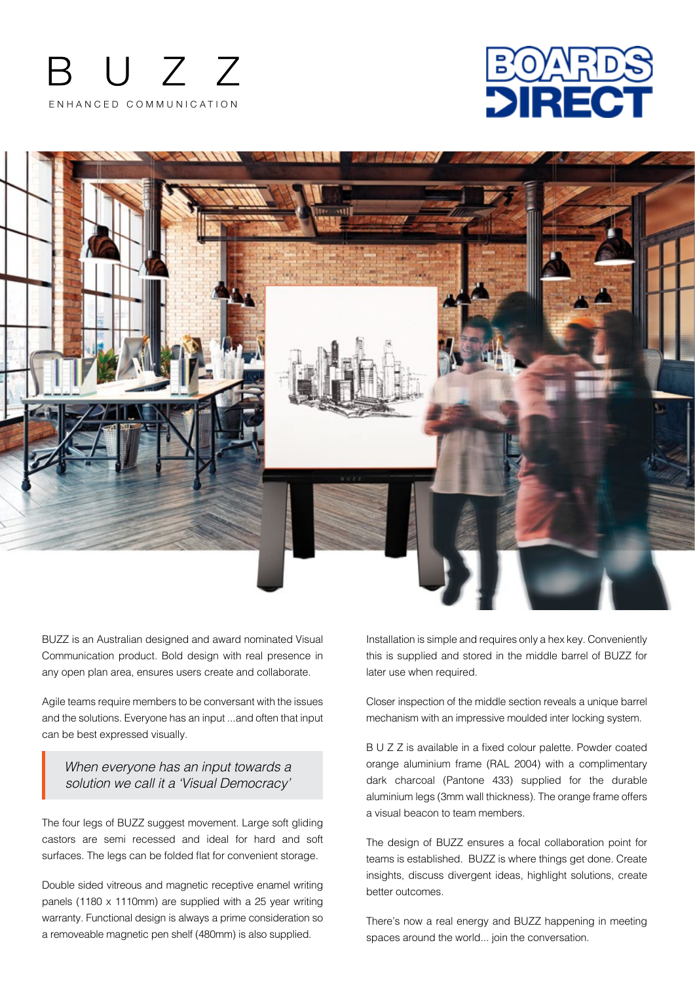





BUZZ is an Australian designed and award nominated Visual Communication product. Bold design with real presence in any open plan area, ensures users create and collaborate.

Agile teams require members to be conversant with the issues and the solutions. Everyone has an input ...and often that input can be best expressed visually.

*When everyone has an input towards a solution we call it a 'Visual Democracy'*

The four legs of BUZZ suggest movement. Large soft gliding castors are semi recessed and ideal for hard and soft surfaces. The legs can be folded flat for convenient storage.

Double sided vitreous and magnetic receptive enamel writing panels (1180 x 1110mm) are supplied with a 25 year writing warranty. Functional design is always a prime consideration so a removeable magnetic pen shelf (480mm) is also supplied.

Installation is simple and requires only a hex key. Conveniently this is supplied and stored in the middle barrel of BUZZ for later use when required.

Closer inspection of the middle section reveals a unique barrel mechanism with an impressive moulded inter locking system.

B U Z Z is available in a fixed colour palette. Powder coated orange aluminium frame (RAL 2004) with a complimentary dark charcoal (Pantone 433) supplied for the durable aluminium legs (3mm wall thickness). The orange frame offers a visual beacon to team members.

The design of BUZZ ensures a focal collaboration point for teams is established. BUZZ is where things get done. Create insights, discuss divergent ideas, highlight solutions, create better outcomes.

There's now a real energy and BUZZ happening in meeting spaces around the world... join the conversation.